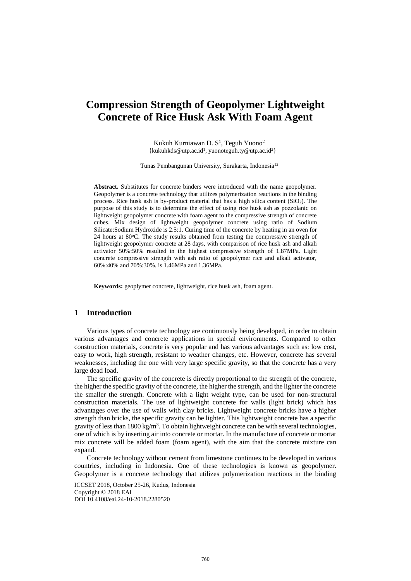# **Compression Strength of Geopolymer Lightweight Concrete of Rice Husk Ask With Foam Agent**

Kukuh Kurniawan D.  $S^1$ , Teguh Yuono<sup>2</sup>  $\{kukuhkds@utp.ac.id<sup>1</sup>, yuonoteguh.ty@utp.ac.id<sup>2</sup>\}$ 

Tunas Pembangunan University, Surakarta, Indonesia<sup>12</sup>

**Abstract.** Substitutes for concrete binders were introduced with the name geopolymer. Geopolymer is a concrete technology that utilizes polymerization reactions in the binding process. Rice husk ash is by-product material that has a high silica content  $(SiO<sub>2</sub>)$ . The purpose of this study is to determine the effect of using rice husk ash as pozzolanic on lightweight geopolymer concrete with foam agent to the compressive strength of concrete cubes. Mix design of lightweight geopolymer concrete using ratio of Sodium Silicate:Sodium Hydroxide is 2.5:1. Curing time of the concrete by heating in an oven for 24 hours at 80°C. The study results obtained from testing the compressive strength of lightweight geopolymer concrete at 28 days, with comparison of rice husk ash and alkali activator 50%:50% resulted in the highest compressive strength of 1.87MPa. Light concrete compressive strength with ash ratio of geopolymer rice and alkali activator, 60%:40% and 70%:30%, is 1.46MPa and 1.36MPa.

**Keywords:** geoplymer concrete, lightweight, rice husk ash, foam agent.

## **1 Introduction**

Various types of concrete technology are continuously being developed, in order to obtain various advantages and concrete applications in special environments. Compared to other construction materials, concrete is very popular and has various advantages such as: low cost, easy to work, high strength, resistant to weather changes, etc. However, concrete has several weaknesses, including the one with very large specific gravity, so that the concrete has a very large dead load.

The specific gravity of the concrete is directly proportional to the strength of the concrete, the higher the specific gravity of the concrete, the higher the strength, and the lighter the concrete the smaller the strength. Concrete with a light weight type, can be used for non-structural construction materials. The use of lightweight concrete for walls (light brick) which has advantages over the use of walls with clay bricks. Lightweight concrete bricks have a higher strength than bricks, the specific gravity can be lighter. This lightweight concrete has a specific gravity of less than 1800 kg/m<sup>3</sup>. To obtain lightweight concrete can be with several technologies, one of which is by inserting air into concrete or mortar. In the manufacture of concrete or mortar mix concrete will be added foam (foam agent), with the aim that the concrete mixture can expand.

Concrete technology without cement from limestone continues to be developed in various countries, including in Indonesia. One of these technologies is known as geopolymer. Geopolymer is a concrete technology that utilizes polymerization reactions in the binding

ICCSET 2018, October 25-26, Kudus, Indonesia Copyright © 2018 EAI DOI 10.4108/eai.24-10-2018.2280520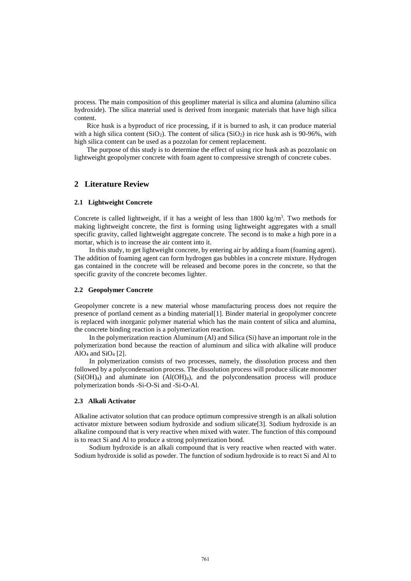process. The main composition of this geoplimer material is silica and alumina (alumino silica hydroxide). The silica material used is derived from inorganic materials that have high silica content.

Rice husk is a byproduct of rice processing, if it is burned to ash, it can produce material with a high silica content  $(SiO<sub>2</sub>)$ . The content of silica  $(SiO<sub>2</sub>)$  in rice husk ash is 90-96%, with high silica content can be used as a pozzolan for cement replacement.

The purpose of this study is to determine the effect of using rice husk ash as pozzolanic on lightweight geopolymer concrete with foam agent to compressive strength of concrete cubes.

## **2 Literature Review**

### **2.1 Lightweight Concrete**

Concrete is called lightweight, if it has a weight of less than  $1800 \text{ kg/m}^3$ . Two methods for making lightweight concrete, the first is forming using lightweight aggregates with a small specific gravity, called lightweight aggregate concrete. The second is to make a high pore in a mortar, which is to increase the air content into it.

In this study, to get lightweight concrete, by entering air by adding a foam (foaming agent). The addition of foaming agent can form hydrogen gas bubbles in a concrete mixture. Hydrogen gas contained in the concrete will be released and become pores in the concrete, so that the specific gravity of the concrete becomes lighter.

## **2.2 Geopolymer Concrete**

Geopolymer concrete is a new material whose manufacturing process does not require the presence of portland cement as a binding material[1]. Binder material in geopolymer concrete is replaced with inorganic polymer material which has the main content of silica and alumina, the concrete binding reaction is a polymerization reaction.

In the polymerization reaction Aluminum (Al) and Silica (Si) have an important role in the polymerization bond because the reaction of aluminum and silica with alkaline will produce AlO<sub>4</sub> and SiO<sub>4</sub> [2].

In polymerization consists of two processes, namely, the dissolution process and then followed by a polycondensation process. The dissolution process will produce silicate monomer  $(Si(OH)<sub>4</sub>)$  and aluminate ion  $(A(OH)<sub>4</sub>)$ , and the polycondensation process will produce polymerization bonds -Si-O-Si and -Si-O-Al.

#### **2.3 Alkali Activator**

Alkaline activator solution that can produce optimum compressive strength is an alkali solution activator mixture between sodium hydroxide and sodium silicate[3]. Sodium hydroxide is an alkaline compound that is very reactive when mixed with water. The function of this compound is to react Si and Al to produce a strong polymerization bond.

Sodium hydroxide is an alkali compound that is very reactive when reacted with water. Sodium hydroxide is solid as powder. The function of sodium hydroxide is to react Si and Al to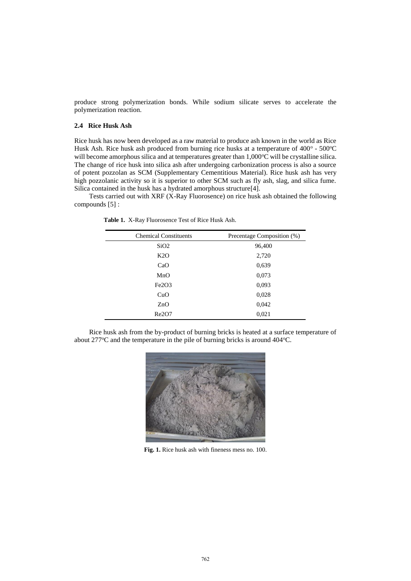produce strong polymerization bonds. While sodium silicate serves to accelerate the polymerization reaction.

## **2.4 Rice Husk Ash**

Rice husk has now been developed as a raw material to produce ash known in the world as Rice Husk Ash. Rice husk ash produced from burning rice husks at a temperature of  $400^{\circ}$  -  $500^{\circ}$ C will become amorphous silica and at temperatures greater than  $1,000^{\circ}$ C will be crystalline silica. The change of rice husk into silica ash after undergoing carbonization process is also a source of potent pozzolan as SCM (Supplementary Cementitious Material). Rice husk ash has very high pozzolanic activity so it is superior to other SCM such as fly ash, slag, and silica fume. Silica contained in the husk has a hydrated amorphous structure[4].

Tests carried out with XRF (X-Ray Fluorosence) on rice husk ash obtained the following compounds [5] :

**Table 1.** X-Ray Fluorosence Test of Rice Husk Ash.

| <b>Chemical Constituents</b>   | Precentage Composition (%) |
|--------------------------------|----------------------------|
| SiO2                           | 96,400                     |
| K2O                            | 2,720                      |
| CaO                            | 0,639                      |
| MnO                            | 0,073                      |
| Fe <sub>2</sub> O <sub>3</sub> | 0,093                      |
| CuO                            | 0,028                      |
| ZnO                            | 0,042                      |
| Re2O7                          | 0,021                      |

Rice husk ash from the by-product of burning bricks is heated at a surface temperature of about  $277^{\circ}$ C and the temperature in the pile of burning bricks is around  $404^{\circ}$ C.



**Fig. 1.** Rice husk ash with fineness mess no. 100.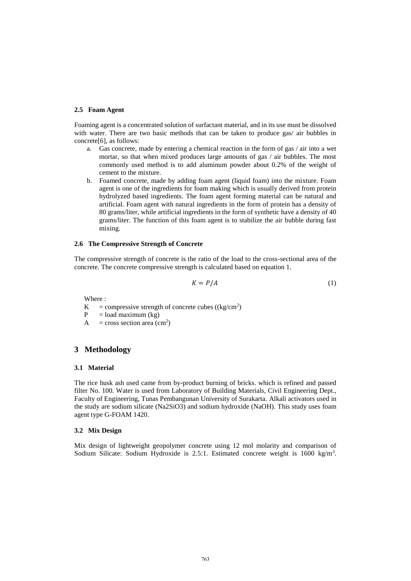### **2.5 Foam Agent**

Foaming agent is a concentrated solution of surfactant material, and in its use must be dissolved with water. There are two basic methods that can be taken to produce gas/ air bubbles in concrete[6], as follows:

- a. Gas concrete, made by entering a chemical reaction in the form of gas / air into a wet mortar, so that when mixed produces large amounts of gas / air bubbles. The most commonly used method is to add aluminum powder about 0.2% of the weight of cement to the mixture.
- b. Foamed concrete, made by adding foam agent (liquid foam) into the mixture. Foam agent is one of the ingredients for foam making which is usually derived from protein hydrolyzed based ingredients. The foam agent forming material can be natural and artificial. Foam agent with natural ingredients in the form of protein has a density of 80 grams/liter, while artificial ingredients in the form of synthetic have a density of 40 grams/liter. The function of this foam agent is to stabilize the air bubble during fast mixing.

#### **2.6 The Compressive Strength of Concrete**

The compressive strength of concrete is the ratio of the load to the cross-sectional area of the concrete. The concrete compressive strength is calculated based on equation 1.

$$
K = P/A \tag{1}
$$

Where :

- $K =$  compressive strength of concrete cubes ((kg/cm<sup>2</sup>)
- $P = load maximum (kg)$
- $A = \text{cross section area (cm}^2)$

## **3 Methodology**

#### **3.1 Material**

The rice husk ash used came from by-product burning of bricks. which is refined and passed filter No. 100. Water is used from Laboratory of Building Materials, Civil Engineering Dept., Faculty of Engineering, Tunas Pembangunan University of Surakarta. Alkali activators used in the study are sodium silicate (Na2SiO3) and sodium hydroxide (NaOH). This study uses foam agent type G-FOAM 1420.

#### **3.2 Mix Design**

Mix design of lightweight geopolymer concrete using 12 mol molarity and comparison of Sodium Silicate: Sodium Hydroxide is 2.5:1. Estimated concrete weight is 1600 kg/m<sup>3</sup>.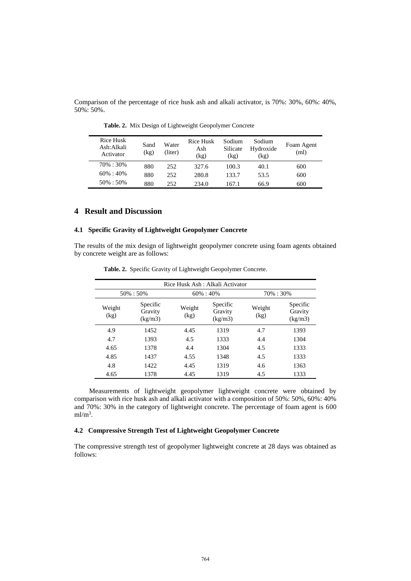Comparison of the percentage of rice husk ash and alkali activator, is 70%: 30%, 60%: 40%, 50%: 50%.

| Rice Husk<br>Ash: Alkali<br>Activator | Sand<br>(kg) | Water<br>(liter) | Rice Husk<br>Ash<br>(kg) | Sodium<br>Silicate<br>(kg) | Sodium<br>Hydroxide<br>(kg) | Foam Agent<br>(ml) |
|---------------------------------------|--------------|------------------|--------------------------|----------------------------|-----------------------------|--------------------|
| 70\% : 30\%                           | 880          | 252              | 327.6                    | 100.3                      | 40.1                        | 600                |
| $60\% : 40\%$                         | 880          | 252              | 280.8                    | 133.7                      | 53.5                        | 600                |
| $50\% : 50\%$                         | 880          | 252              | 234.0                    | 167.1                      | 66.9                        | 600                |

**Table. 2.** Mix Design of Lightweight Geopolymer Concrete

## **4 Result and Discussion**

## **4.1 Specific Gravity of Lightweight Geopolymer Concrete**

The results of the mix design of lightweight geopolymer concrete using foam agents obtained by concrete weight are as follows:

| Rice Husk Ash : Alkali Activator |                                |                |                                |                |                                |
|----------------------------------|--------------------------------|----------------|--------------------------------|----------------|--------------------------------|
| 50% : 50%                        |                                |                | $60\% : 40\%$                  |                | 70% : 30%                      |
| Weight<br>(kg)                   | Specific<br>Gravity<br>(kg/m3) | Weight<br>(kg) | Specific<br>Gravity<br>(kg/m3) | Weight<br>(kg) | Specific<br>Gravity<br>(kg/m3) |
| 4.9                              | 1452                           | 4.45           | 1319                           | 4.7            | 1393                           |
| 4.7                              | 1393                           | 4.5            | 1333                           | 4.4            | 1304                           |
| 4.65                             | 1378                           | 4.4            | 1304                           | 4.5            | 1333                           |
| 4.85                             | 1437                           | 4.55           | 1348                           | 4.5            | 1333                           |
| 4.8                              | 1422                           | 4.45           | 1319                           | 4.6            | 1363                           |
| 4.65                             | 1378                           | 4.45           | 1319                           | 4.5            | 1333                           |

**Table. 2.** Specific Gravity of Lightweight Geopolymer Concrete.

Measurements of lightweight geopolymer lightweight concrete were obtained by comparison with rice husk ash and alkali activator with a composition of 50%: 50%, 60%: 40% and 70%: 30% in the category of lightweight concrete. The percentage of foam agent is 600  $ml/m<sup>3</sup>$ .

## **4.2 Compressive Strength Test of Lightweight Geopolymer Concrete**

The compressive strength test of geopolymer lightweight concrete at 28 days was obtained as follows: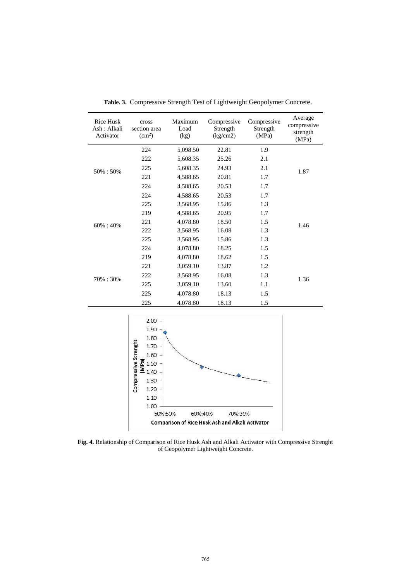| <b>Rice Husk</b><br>Ash: Alkali<br>Activator | cross<br>section area<br>(cm <sup>2</sup> ) | Maximum<br>Load<br>(kg) | Compressive<br>Strength<br>(kg/cm2) | Compressive<br>Strength<br>(MPa) | Average<br>compressive<br>strength<br>(MPa) |
|----------------------------------------------|---------------------------------------------|-------------------------|-------------------------------------|----------------------------------|---------------------------------------------|
| 50% : 50%                                    | 224                                         | 5,098.50                | 22.81                               | 1.9                              |                                             |
|                                              | 222                                         | 5,608.35                | 25.26                               | 2.1                              |                                             |
|                                              | 225<br>221<br>224                           | 5,608.35                | 24.93                               | 2.1                              | 1.87                                        |
|                                              |                                             | 4,588.65                | 20.81                               | 1.7                              |                                             |
|                                              |                                             | 4,588.65                | 20.53                               | 1.7                              |                                             |
|                                              | 224                                         | 4,588.65                | 20.53                               | 1.7                              |                                             |
| $60\% : 40\%$                                | 225                                         | 3,568.95                | 15.86                               | 1.3                              |                                             |
|                                              | 219                                         | 4,588.65                | 20.95                               | 1.7                              |                                             |
|                                              | 221<br>222<br>225                           | 4,078.80                | 18.50                               | 1.5                              | 1.46                                        |
|                                              |                                             | 3,568.95                | 16.08                               | 1.3                              |                                             |
|                                              |                                             | 3,568.95                | 15.86                               | 1.3                              |                                             |
|                                              | 224                                         | 4,078.80                | 18.25                               | 1.5                              |                                             |
| 70%: 30%                                     | 219                                         | 4,078.80                | 18.62                               | 1.5                              |                                             |
|                                              | 221                                         | 3,059.10                | 13.87                               | 1.2                              | 1.36                                        |
|                                              | 222                                         | 3,568.95                | 16.08                               | 1.3                              |                                             |
|                                              | 225                                         | 3,059.10                | 13.60                               | 1.1                              |                                             |
|                                              | 225                                         | 4,078.80                | 18.13                               | 1.5                              |                                             |
|                                              | 225                                         | 4,078.80                | 18.13                               | 1.5                              |                                             |

**Table. 3.** Compressive Strength Test of Lightweight Geopolymer Concrete.



**Fig. 4.** Relationship of Comparison of Rice Husk Ash and Alkali Activator with Compressive Strenght of Geopolymer Lightweight Concrete.